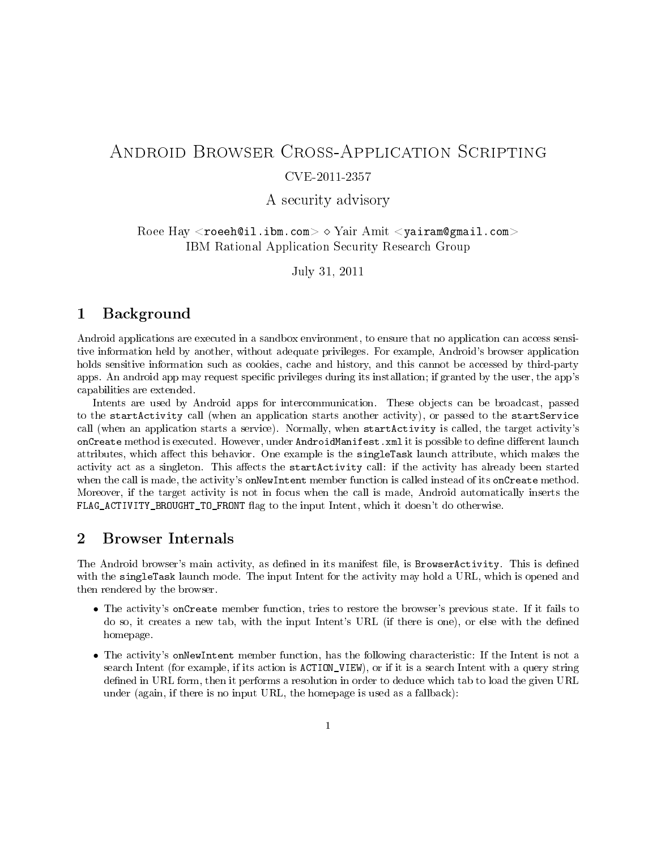# Android Browser Cross-Application Scripting CVE-2011-2357

A security advisory

 $\rm{Roee~Hay} <$ roeeh@il.ibm.com $>$   $\diamond$   $\rm{Yair~Amit} <$ yairam@gmail.com $>$ IBM Rational Application Security Research Group

July 31, 2011

#### 1 Background

Android applications are executed in a sandbox environment, to ensure that no application can access sensitive information held by another, without adequate privileges. For example, Android's browser application holds sensitive information such as cookies, cache and history, and this cannot be accessed by third-party apps. An android app may request specific privileges during its installation; if granted by the user, the app's capabilities are extended.

Intents are used by Android apps for intercommunication. These objects can be broadcast, passed to the startActivity call (when an application starts another activity), or passed to the startService call (when an application starts a service). Normally, when startActivity is called, the target activity's onCreate method is executed. However, under AndroidManifest. xml it is possible to define different launch attributes, which affect this behavior. One example is the singleTask launch attribute, which makes the activity act as a singleton. This affects the startActivity call: if the activity has already been started when the call is made, the activity's onNewIntent member function is called instead of its onCreate method. Moreover, if the target activity is not in focus when the call is made, Android automatically inserts the FLAG\_ACTIVITY\_BROUGHT\_TO\_FRONT flag to the input Intent, which it doesn't do otherwise.

#### 2 Browser Internals

The Android browser's main activity, as defined in its manifest file, is BrowserActivity. This is defined with the singleTask launch mode. The input Intent for the activity may hold a URL, which is opened and then rendered by the browser.

- The activity's onCreate member function, tries to restore the browser's previous state. If it fails to do so, it creates a new tab, with the input Intent's URL (if there is one), or else with the dened homepage.
- The activity's onNewIntent member function, has the following characteristic: If the Intent is not a search Intent (for example, if its action is ACTION\_VIEW), or if it is a search Intent with a query string defined in URL form, then it performs a resolution in order to deduce which tab to load the given URL under (again, if there is no input URL, the homepage is used as a fallback):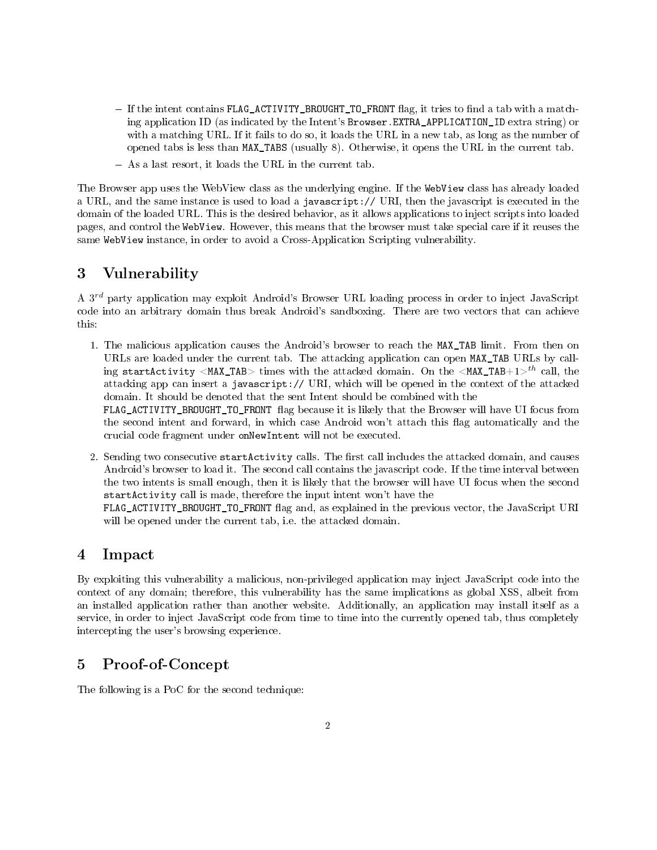- $-I$  If the intent contains FLAG\_ACTIVITY\_BROUGHT\_TO\_FRONT flag, it tries to find a tab with a matching application ID (as indicated by the Intent's Browser.EXTRA\_APPLICATION\_ID extra string) or with a matching URL. If it fails to do so, it loads the URL in a new tab, as long as the number of opened tabs is less than MAX\_TABS (usually 8). Otherwise, it opens the URL in the current tab.
- As a last resort, it loads the URL in the current tab.

The Browser app uses the WebView class as the underlying engine. If the WebView class has already loaded a URL, and the same instance is used to load a javascript:// URI, then the javascript is executed in the domain of the loaded URL. This is the desired behavior, as it allows applications to inject scripts into loaded pages, and control the WebView. However, this means that the browser must take special care if it reuses the same WebView instance, in order to avoid a Cross-Application Scripting vulnerability.

### 3 Vulnerability

A 3<sup>rd</sup> party application may exploit Android's Browser URL loading process in order to inject JavaScript code into an arbitrary domain thus break Android's sandboxing. There are two vectors that can achieve this:

1. The malicious application causes the Android's browser to reach the MAX\_TAB limit. From then on URLs are loaded under the current tab. The attacking application can open MAX\_TAB URLs by calling startActivity <MAX\_TAB> times with the attacked domain. On the <MAX\_TAB+1><sup>th</sup> call, the attacking app can insert a javascript:// URI, which will be opened in the context of the attacked domain. It should be denoted that the sent Intent should be combined with the

FLAG\_ACTIVITY\_BROUGHT\_TO\_FRONT flag because it is likely that the Browser will have UI focus from the second intent and forward, in which case Android won't attach this flag automatically and the crucial code fragment under onNewIntent will not be executed.

2. Sending two consecutive startActivity calls. The first call includes the attacked domain, and causes Android's browser to load it. The second call contains the javascript code. If the time interval between the two intents is small enough, then it is likely that the browser will have UI focus when the second startActivity call is made, therefore the input intent won't have the

FLAG\_ACTIVITY\_BROUGHT\_TO\_FRONT flag and, as explained in the previous vector, the JavaScript URI will be opened under the current tab, i.e. the attacked domain.

### 4 Impact

By exploiting this vulnerability a malicious, non-privileged application may inject JavaScript code into the context of any domain; therefore, this vulnerability has the same implications as global XSS, albeit from an installed application rather than another website. Additionally, an application may install itself as a service, in order to inject JavaScript code from time to time into the currently opened tab, thus completely intercepting the user's browsing experience.

### 5 Proof-of-Concept

The following is a PoC for the second technique: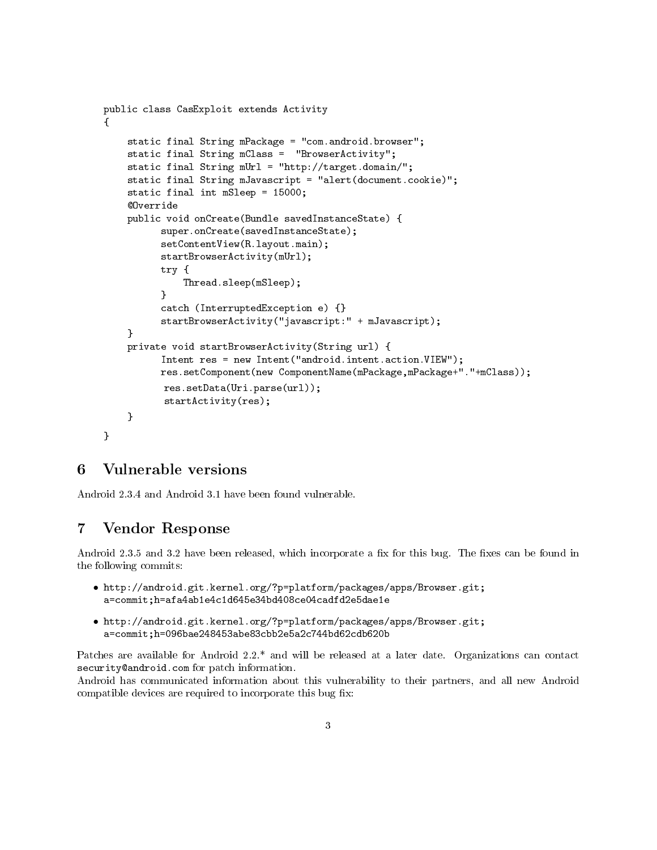```
public class CasExploit extends Activity
{
    static final String mPackage = "com.android.browser";
    static final String mClass = "BrowserActivity";
    static final String mUrl = "http://target.domain/";
    static final String mJavascript = "alert(document.cookie)";
    static final int mSleep = 15000;
    @Override
    public void onCreate(Bundle savedInstanceState) {
          super.onCreate(savedInstanceState);
          setContentView(R.layout.main);
          startBrowserActivity(mUrl);
          try {
              Thread.sleep(mSleep);
          }
          catch (InterruptedException e) {}
          startBrowserActivity("javascript:" + mJavascript);
    }
    private void startBrowserActivity(String url) {
          Intent res = new Intent("android.intent.action.VIEW");
          res.setComponent(new ComponentName(mPackage,mPackage+"."+mClass));
          res.setData(Uri.parse(url));
          startActivity(res);
    }
}
```
### 6 Vulnerable versions

Android 2.3.4 and Android 3.1 have been found vulnerable.

#### 7 Vendor Response

Android 2.3.5 and 3.2 have been released, which incorporate a fix for this bug. The fixes can be found in the following commits:

- http://android.git.kernel.org/?p=platform/packages/apps/Browser.git; a=commit;h=afa4ab1e4c1d645e34bd408ce04cadfd2e5dae1e
- http://android.git.kernel.org/?p=platform/packages/apps/Browser.git; a=commit;h=096bae248453abe83cbb2e5a2c744bd62cdb620b

Patches are available for Android 2.2.\* and will be released at a later date. Organizations can contact security@android.com for patch information.

Android has communicated information about this vulnerability to their partners, and all new Android compatible devices are required to incorporate this bug fix: